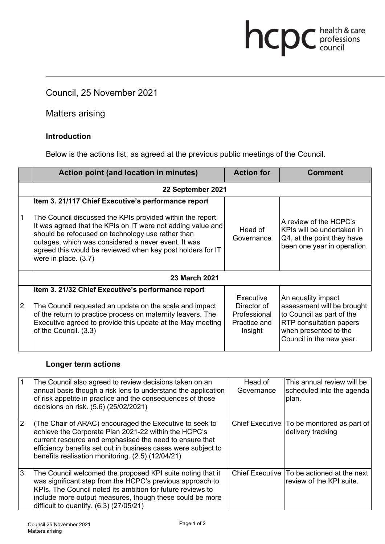### Council, 25 November 2021

Matters arising

#### **Introduction**

Below is the actions list, as agreed at the previous public meetings of the Council.

hcpc health & care

|                      | Action point (and location in minutes)                                                                                                                                                                                                                                                                                                                                             | <b>Action for</b>                                                   | Comment                                                                                                                                                       |  |  |
|----------------------|------------------------------------------------------------------------------------------------------------------------------------------------------------------------------------------------------------------------------------------------------------------------------------------------------------------------------------------------------------------------------------|---------------------------------------------------------------------|---------------------------------------------------------------------------------------------------------------------------------------------------------------|--|--|
| 22 September 2021    |                                                                                                                                                                                                                                                                                                                                                                                    |                                                                     |                                                                                                                                                               |  |  |
| 1                    | Item 3. 21/117 Chief Executive's performance report<br>The Council discussed the KPIs provided within the report.<br>It was agreed that the KPIs on IT were not adding value and<br>should be refocused on technology use rather than<br>outages, which was considered a never event. It was<br>agreed this would be reviewed when key post holders for IT<br>were in place. (3.7) | Head of<br>Governance                                               | A review of the HCPC's<br>KPIs will be undertaken in<br>Q4, at the point they have<br>been one year in operation.                                             |  |  |
| <b>23 March 2021</b> |                                                                                                                                                                                                                                                                                                                                                                                    |                                                                     |                                                                                                                                                               |  |  |
| $\overline{2}$       | Item 3. 21/32 Chief Executive's performance report<br>The Council requested an update on the scale and impact<br>of the return to practice process on maternity leavers. The<br>Executive agreed to provide this update at the May meeting<br>of the Council. (3.3)                                                                                                                | Executive<br>Director of<br>Professional<br>Practice and<br>Insight | An equality impact<br>assessment will be brought<br>to Council as part of the<br>RTP consultation papers<br>when presented to the<br>Council in the new year. |  |  |

#### **Longer term actions**

|   | The Council also agreed to review decisions taken on an<br>annual basis though a risk lens to understand the application<br>of risk appetite in practice and the consequences of those<br>decisions on risk. (5.6) (25/02/2021)                                                                  | Head of<br>Governance | This annual review will be<br>scheduled into the agenda<br>plan.         |
|---|--------------------------------------------------------------------------------------------------------------------------------------------------------------------------------------------------------------------------------------------------------------------------------------------------|-----------------------|--------------------------------------------------------------------------|
| 2 | (The Chair of ARAC) encouraged the Executive to seek to<br>achieve the Corporate Plan 2021-22 within the HCPC's<br>current resource and emphasised the need to ensure that<br>efficiency benefits set out in business cases were subject to<br>benefits realisation monitoring. (2.5) (12/04/21) |                       | Chief Executive   To be monitored as part of<br>delivery tracking        |
| 3 | The Council welcomed the proposed KPI suite noting that it<br>was significant step from the HCPC's previous approach to<br>KPIs. The Council noted its ambition for future reviews to<br>include more output measures, though these could be more<br>difficult to quantify. $(6.3)$ $(27/05/21)$ |                       | Chief Executive   To be actioned at the next<br>review of the KPI suite. |